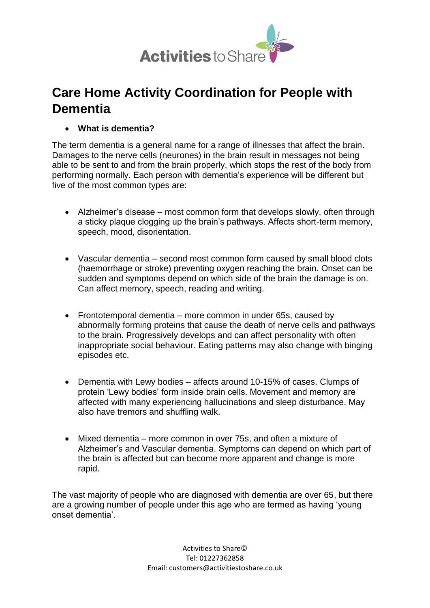

# **Care Home Activity Coordination for People with Dementia**

**What is dementia?**

The term dementia is a general name for a range of illnesses that affect the brain. Damages to the nerve cells (neurones) in the brain result in messages not being able to be sent to and from the brain properly, which stops the rest of the body from performing normally. Each person with dementia's experience will be different but five of the most common types are:

- Alzheimer's disease most common form that develops slowly, often through a sticky plaque clogging up the brain's pathways. Affects short-term memory, speech, mood, disorientation.
- Vascular dementia second most common form caused by small blood clots (haemorrhage or stroke) preventing oxygen reaching the brain. Onset can be sudden and symptoms depend on which side of the brain the damage is on. Can affect memory, speech, reading and writing.
- Frontotemporal dementia more common in under 65s, caused by abnormally forming proteins that cause the death of nerve cells and pathways to the brain. Progressively develops and can affect personality with often inappropriate social behaviour. Eating patterns may also change with binging episodes etc.
- Dementia with Lewy bodies affects around 10-15% of cases. Clumps of protein 'Lewy bodies' form inside brain cells. Movement and memory are affected with many experiencing hallucinations and sleep disturbance. May also have tremors and shuffling walk.
- Mixed dementia more common in over 75s, and often a mixture of Alzheimer's and Vascular dementia. Symptoms can depend on which part of the brain is affected but can become more apparent and change is more rapid.

The vast majority of people who are diagnosed with dementia are over 65, but there are a growing number of people under this age who are termed as having 'young onset dementia'.

> Activities to Share© Tel: 01227362858 Email: [customers@activitiestoshare.co.uk](mailto:customers@activitiestoshare.co.uk)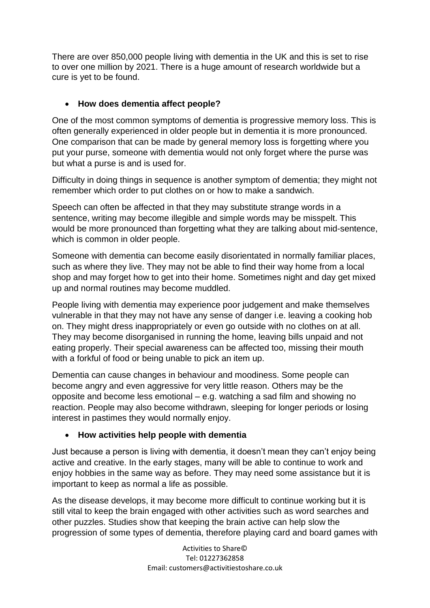There are over 850,000 people living with dementia in the UK and this is set to rise to over one million by 2021. There is a huge amount of research worldwide but a cure is yet to be found.

# **How does dementia affect people?**

One of the most common symptoms of dementia is progressive memory loss. This is often generally experienced in older people but in dementia it is more pronounced. One comparison that can be made by general memory loss is forgetting where you put your purse, someone with dementia would not only forget where the purse was but what a purse is and is used for.

Difficulty in doing things in sequence is another symptom of dementia; they might not remember which order to put clothes on or how to make a sandwich.

Speech can often be affected in that they may substitute strange words in a sentence, writing may become illegible and simple words may be misspelt. This would be more pronounced than forgetting what they are talking about mid-sentence, which is common in older people.

Someone with dementia can become easily disorientated in normally familiar places, such as where they live. They may not be able to find their way home from a local shop and may forget how to get into their home. Sometimes night and day get mixed up and normal routines may become muddled.

People living with dementia may experience poor judgement and make themselves vulnerable in that they may not have any sense of danger i.e. leaving a cooking hob on. They might dress inappropriately or even go outside with no clothes on at all. They may become disorganised in running the home, leaving bills unpaid and not eating properly. Their special awareness can be affected too, missing their mouth with a forkful of food or being unable to pick an item up.

Dementia can cause changes in behaviour and moodiness. Some people can become angry and even aggressive for very little reason. Others may be the opposite and become less emotional – e.g. watching a sad film and showing no reaction. People may also become withdrawn, sleeping for longer periods or losing interest in pastimes they would normally enjoy.

### **How activities help people with dementia**

Just because a person is living with dementia, it doesn't mean they can't enjoy being active and creative. In the early stages, many will be able to continue to work and enjoy hobbies in the same way as before. They may need some assistance but it is important to keep as normal a life as possible.

As the disease develops, it may become more difficult to continue working but it is still vital to keep the brain engaged with other activities such as word searches and other puzzles. Studies show that keeping the brain active can help slow the progression of some types of dementia, therefore playing card and board games with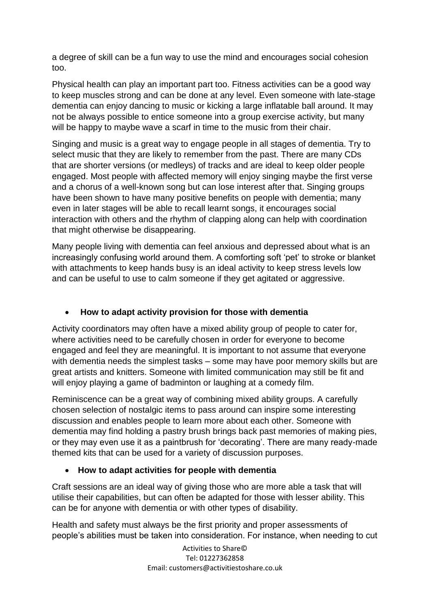a degree of skill can be a fun way to use the mind and encourages social cohesion too.

Physical health can play an important part too. Fitness activities can be a good way to keep muscles strong and can be done at any level. Even someone with late-stage dementia can enjoy dancing to music or kicking a large inflatable ball around. It may not be always possible to entice someone into a group exercise activity, but many will be happy to maybe wave a scarf in time to the music from their chair.

Singing and music is a great way to engage people in all stages of dementia. Try to select music that they are likely to remember from the past. There are many CDs that are shorter versions (or medleys) of tracks and are ideal to keep older people engaged. Most people with affected memory will enjoy singing maybe the first verse and a chorus of a well-known song but can lose interest after that. Singing groups have been shown to have many positive benefits on people with dementia; many even in later stages will be able to recall learnt songs, it encourages social interaction with others and the rhythm of clapping along can help with coordination that might otherwise be disappearing.

Many people living with dementia can feel anxious and depressed about what is an increasingly confusing world around them. A comforting soft 'pet' to stroke or blanket with attachments to keep hands busy is an ideal activity to keep stress levels low and can be useful to use to calm someone if they get agitated or aggressive.

# **How to adapt activity provision for those with dementia**

Activity coordinators may often have a mixed ability group of people to cater for, where activities need to be carefully chosen in order for everyone to become engaged and feel they are meaningful. It is important to not assume that everyone with dementia needs the simplest tasks – some may have poor memory skills but are great artists and knitters. Someone with limited communication may still be fit and will enjoy playing a game of badminton or laughing at a comedy film.

Reminiscence can be a great way of combining mixed ability groups. A carefully chosen selection of nostalgic items to pass around can inspire some interesting discussion and enables people to learn more about each other. Someone with dementia may find holding a pastry brush brings back past memories of making pies, or they may even use it as a paintbrush for 'decorating'. There are many ready-made themed kits that can be used for a variety of discussion purposes.

### **How to adapt activities for people with dementia**

Craft sessions are an ideal way of giving those who are more able a task that will utilise their capabilities, but can often be adapted for those with lesser ability. This can be for anyone with dementia or with other types of disability.

Health and safety must always be the first priority and proper assessments of people's abilities must be taken into consideration. For instance, when needing to cut

> Activities to Share© Tel: 01227362858 Email: [customers@activitiestoshare.co.uk](mailto:customers@activitiestoshare.co.uk)